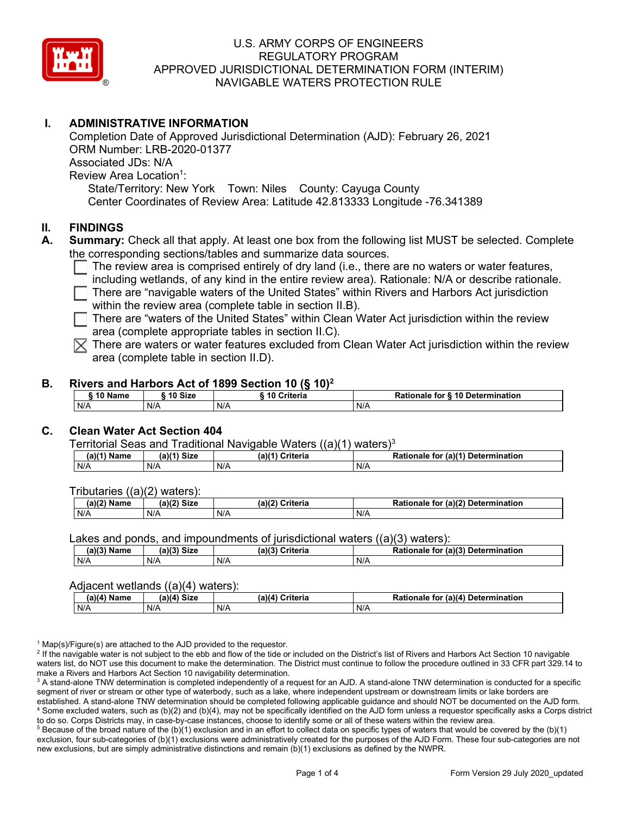

## **I. ADMINISTRATIVE INFORMATION**

Completion Date of Approved Jurisdictional Determination (AJD): February 26, 2021 ORM Number: LRB-2020-01377 Associated JDs: N/A Review Area Location<sup>1</sup>: State/Territory: New York Town: Niles County: Cayuga County Center Coordinates of Review Area: Latitude 42.813333 Longitude -76.341389

### **II. FINDINGS**

- **A. Summary:** Check all that apply. At least one box from the following list MUST be selected. Complete the corresponding sections/tables and summarize data sources.
	- The review area is comprised entirely of dry land (i.e., there are no waters or water features, including wetlands, of any kind in the entire review area). Rationale: N/A or describe rationale.

 $\Box$  There are "navigable waters of the United States" within Rivers and Harbors Act jurisdiction within the review area (complete table in section II.B).

 $\Box$  There are "waters of the United States" within Clean Water Act jurisdiction within the review area (complete appropriate tables in section II.C).

 $\overline{\times}$  There are waters or water features excluded from Clean Water Act jurisdiction within the review area (complete table in section II.D).

#### **B. Rivers and Harbors Act of 1899 Section 10 (§ 10)2**

| S 10 N.<br>Name | 10 Size | .<br>Criteria | <b>S</b> 10 Determination<br>Rationale<br>for |
|-----------------|---------|---------------|-----------------------------------------------|
| N/A             | N/A     | N/A           | N/A                                           |

## **C. Clean Water Act Section 404**

#### Territorial Seas and Traditional Navigable Waters  $((a)(1)$  waters)<sup>3</sup>

| (a)(1) <sup>⊾</sup><br>Name | $M$ 1) Size<br>ια | (a)(1)<br><b>Criteria</b> | $ur$ (a) $(4)$<br><b>Determination</b><br>Rationale<br>tor |
|-----------------------------|-------------------|---------------------------|------------------------------------------------------------|
| N/A                         | N/A               | N/A                       | N/A                                                        |

Tributaries ((a)(2) waters):

| $1001$ $F_{\rm{H}}$<br>Name | $(1 - 1)^n$<br>- 01-4<br>oizu | (a)/2<br>متسمعتك<br>пе | $\mathcal{L}$<br>Determination<br>ΤOΙ<br>าลเด |
|-----------------------------|-------------------------------|------------------------|-----------------------------------------------|
| N/A                         | N/A                           | .<br>N/A               | N/A                                           |

Lakes and ponds, and impoundments of jurisdictional waters ((a)(3) waters):

| (a)(3) Name | $(a)(3)$ Size | (a)(?') | Criteria | Rationale | (2)<br><b>Determination</b><br>. for |
|-------------|---------------|---------|----------|-----------|--------------------------------------|
| N/A         | N/A           | N/A     |          | N/A       |                                      |

#### Adjacent wetlands ((a)(4) waters):

|             | .           | .               | Rationale for (a)(4) Determination |
|-------------|-------------|-----------------|------------------------------------|
| (a)(4) Name | (a)(4) Size | (a)(4) Criteria |                                    |
| N/A         | N/A         | N/A             | N/A                                |

 $1$  Map(s)/Figure(s) are attached to the AJD provided to the requestor.

<sup>2</sup> If the navigable water is not subject to the ebb and flow of the tide or included on the District's list of Rivers and Harbors Act Section 10 navigable waters list, do NOT use this document to make the determination. The District must continue to follow the procedure outlined in 33 CFR part 329.14 to make a Rivers and Harbors Act Section 10 navigability determination.

<sup>3</sup> A stand-alone TNW determination is completed independently of a request for an AJD. A stand-alone TNW determination is conducted for a specific segment of river or stream or other type of waterbody, such as a lake, where independent upstream or downstream limits or lake borders are established. A stand-alone TNW determination should be completed following applicable guidance and should NOT be documented on the AJD form. <sup>4</sup> Some excluded waters, such as (b)(2) and (b)(4), may not be specifically identified on the AJD form unless a requestor specifically asks a Corps district to do so. Corps Districts may, in case-by-case instances, choose to identify some or all of these waters within the review area.

 $5$  Because of the broad nature of the (b)(1) exclusion and in an effort to collect data on specific types of waters that would be covered by the (b)(1) exclusion, four sub-categories of (b)(1) exclusions were administratively created for the purposes of the AJD Form. These four sub-categories are not new exclusions, but are simply administrative distinctions and remain (b)(1) exclusions as defined by the NWPR.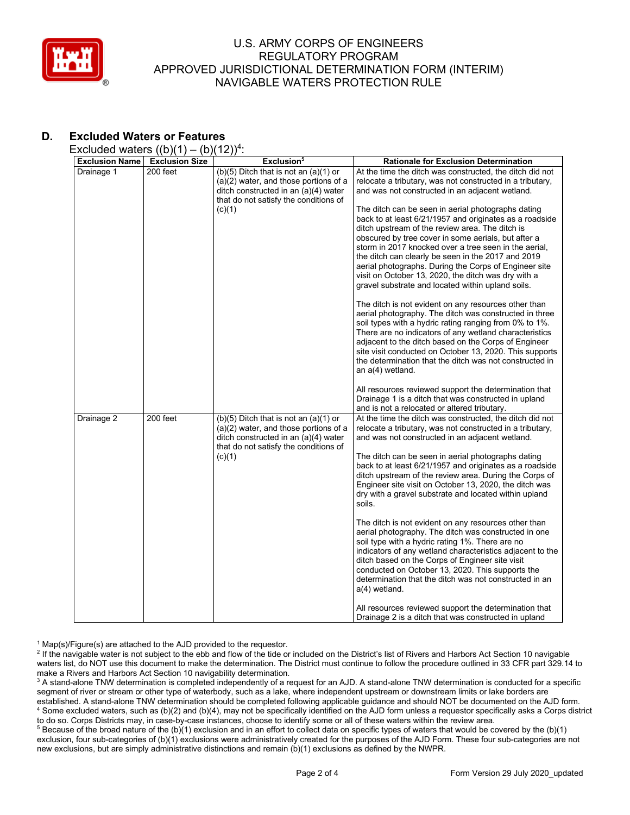

# **D. Excluded Waters or Features**

Excluded waters  $((b)(1) - (b)(12))^4$ :

|                       | $\frac{1}{2}$         | (2)                                                |                                                           |
|-----------------------|-----------------------|----------------------------------------------------|-----------------------------------------------------------|
| <b>Exclusion Name</b> | <b>Exclusion Size</b> | Exclusion <sup>5</sup>                             | <b>Rationale for Exclusion Determination</b>              |
| Drainage 1            | 200 feet              | (b)(5) Ditch that is not an $\overline{(a)(1)}$ or | At the time the ditch was constructed, the ditch did not  |
|                       |                       | $(a)(2)$ water, and those portions of a            | relocate a tributary, was not constructed in a tributary, |
|                       |                       | ditch constructed in an (a)(4) water               | and was not constructed in an adjacent wetland.           |
|                       |                       | that do not satisfy the conditions of              |                                                           |
|                       |                       |                                                    |                                                           |
|                       |                       | (c)(1)                                             | The ditch can be seen in aerial photographs dating        |
|                       |                       |                                                    | back to at least 6/21/1957 and originates as a roadside   |
|                       |                       |                                                    | ditch upstream of the review area. The ditch is           |
|                       |                       |                                                    | obscured by tree cover in some aerials, but after a       |
|                       |                       |                                                    | storm in 2017 knocked over a tree seen in the aerial,     |
|                       |                       |                                                    | the ditch can clearly be seen in the 2017 and 2019        |
|                       |                       |                                                    | aerial photographs. During the Corps of Engineer site     |
|                       |                       |                                                    | visit on October 13, 2020, the ditch was dry with a       |
|                       |                       |                                                    | gravel substrate and located within upland soils.         |
|                       |                       |                                                    |                                                           |
|                       |                       |                                                    | The ditch is not evident on any resources other than      |
|                       |                       |                                                    | aerial photography. The ditch was constructed in three    |
|                       |                       |                                                    | soil types with a hydric rating ranging from 0% to 1%.    |
|                       |                       |                                                    |                                                           |
|                       |                       |                                                    | There are no indicators of any wetland characteristics    |
|                       |                       |                                                    | adjacent to the ditch based on the Corps of Engineer      |
|                       |                       |                                                    | site visit conducted on October 13, 2020. This supports   |
|                       |                       |                                                    | the determination that the ditch was not constructed in   |
|                       |                       |                                                    | an a(4) wetland.                                          |
|                       |                       |                                                    |                                                           |
|                       |                       |                                                    | All resources reviewed support the determination that     |
|                       |                       |                                                    | Drainage 1 is a ditch that was constructed in upland      |
|                       |                       |                                                    | and is not a relocated or altered tributary.              |
| Drainage 2            | 200 feet              | $(b)(5)$ Ditch that is not an $(a)(1)$ or          | At the time the ditch was constructed, the ditch did not  |
|                       |                       | $(a)(2)$ water, and those portions of a            | relocate a tributary, was not constructed in a tributary, |
|                       |                       | ditch constructed in an (a)(4) water               | and was not constructed in an adjacent wetland.           |
|                       |                       | that do not satisfy the conditions of              |                                                           |
|                       |                       | (c)(1)                                             | The ditch can be seen in aerial photographs dating        |
|                       |                       |                                                    | back to at least 6/21/1957 and originates as a roadside   |
|                       |                       |                                                    |                                                           |
|                       |                       |                                                    | ditch upstream of the review area. During the Corps of    |
|                       |                       |                                                    | Engineer site visit on October 13, 2020, the ditch was    |
|                       |                       |                                                    | dry with a gravel substrate and located within upland     |
|                       |                       |                                                    | soils.                                                    |
|                       |                       |                                                    |                                                           |
|                       |                       |                                                    | The ditch is not evident on any resources other than      |
|                       |                       |                                                    | aerial photography. The ditch was constructed in one      |
|                       |                       |                                                    | soil type with a hydric rating 1%. There are no           |
|                       |                       |                                                    | indicators of any wetland characteristics adjacent to the |
|                       |                       |                                                    | ditch based on the Corps of Engineer site visit           |
|                       |                       |                                                    | conducted on October 13, 2020. This supports the          |
|                       |                       |                                                    | determination that the ditch was not constructed in an    |
|                       |                       |                                                    | a(4) wetland.                                             |
|                       |                       |                                                    |                                                           |
|                       |                       |                                                    | All resources reviewed support the determination that     |
|                       |                       |                                                    | Drainage 2 is a ditch that was constructed in upland      |

 $1$  Map(s)/Figure(s) are attached to the AJD provided to the requestor.

<sup>2</sup> If the navigable water is not subject to the ebb and flow of the tide or included on the District's list of Rivers and Harbors Act Section 10 navigable waters list, do NOT use this document to make the determination. The District must continue to follow the procedure outlined in 33 CFR part 329.14 to make a Rivers and Harbors Act Section 10 navigability determination.

<sup>3</sup> A stand-alone TNW determination is completed independently of a request for an AJD. A stand-alone TNW determination is conducted for a specific segment of river or stream or other type of waterbody, such as a lake, where independent upstream or downstream limits or lake borders are established. A stand-alone TNW determination should be completed following applicable guidance and should NOT be documented on the AJD form. <sup>4</sup> Some excluded waters, such as (b)(2) and (b)(4), may not be specifically identified on the AJD form unless a requestor specifically asks a Corps district to do so. Corps Districts may, in case-by-case instances, choose to identify some or all of these waters within the review area.

<sup>5</sup> Because of the broad nature of the (b)(1) exclusion and in an effort to collect data on specific types of waters that would be covered by the (b)(1) exclusion, four sub-categories of (b)(1) exclusions were administratively created for the purposes of the AJD Form. These four sub-categories are not new exclusions, but are simply administrative distinctions and remain (b)(1) exclusions as defined by the NWPR.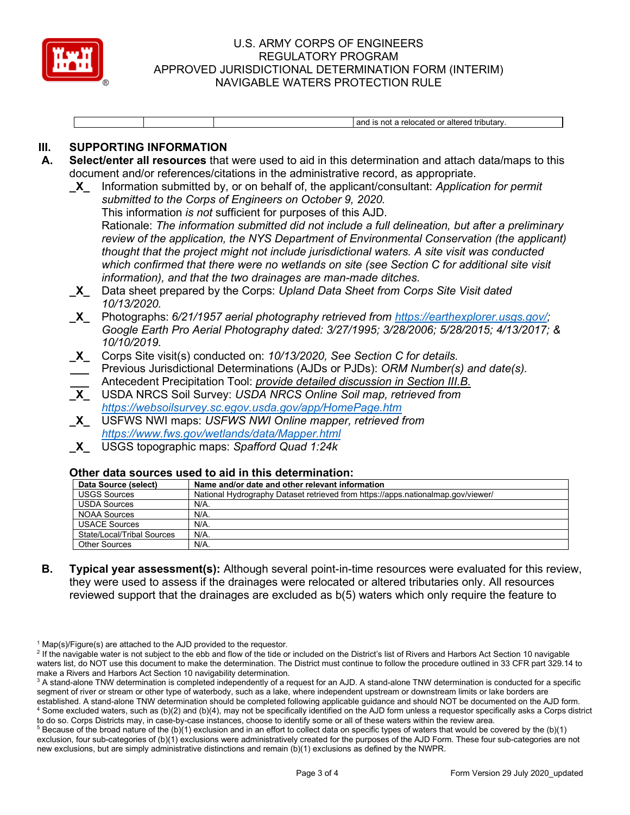

and is not a relocated or altered tributary.

## **III. SUPPORTING INFORMATION**

- **A. Select/enter all resources** that were used to aid in this determination and attach data/maps to this document and/or references/citations in the administrative record, as appropriate.
	- **\_X\_** Information submitted by, or on behalf of, the applicant/consultant: *Application for permit submitted to the Corps of Engineers on October 9, 2020.*  This information *is not* sufficient for purposes of this AJD.

Rationale: *The information submitted did not include a full delineation, but after a preliminary review of the application, the NYS Department of Environmental Conservation (the applicant) thought that the project might not include jurisdictional waters. A site visit was conducted which confirmed that there were no wetlands on site (see Section C for additional site visit information), and that the two drainages are man-made ditches.*

- **\_X\_** Data sheet prepared by the Corps: *Upland Data Sheet from Corps Site Visit dated 10/13/2020.*
- **\_X\_** Photographs: *6/21/1957 aerial photography retrieved from [https://earthexplorer.usgs.gov/;](https://earthexplorer.usgs.gov/) Google Earth Pro Aerial Photography dated: 3/27/1995; 3/28/2006; 5/28/2015; 4/13/2017; & 10/10/2019.*
- **\_X\_** Corps Site visit(s) conducted on: *10/13/2020, See Section C for details.*
- **\_\_\_** Previous Jurisdictional Determinations (AJDs or PJDs): *ORM Number(s) and date(s).*
- **\_\_\_** Antecedent Precipitation Tool: *provide detailed discussion in Section III.B.*
- **\_X\_** USDA NRCS Soil Survey: *USDA NRCS Online Soil map, retrieved from <https://websoilsurvey.sc.egov.usda.gov/app/HomePage.htm>*
- **\_X\_** USFWS NWI maps: *USFWS NWI Online mapper, retrieved from <https://www.fws.gov/wetlands/data/Mapper.html>*
- **\_X\_** USGS topographic maps: *Spafford Quad 1:24k*

#### **Other data sources used to aid in this determination:**

| Data Source (select)       | Name and/or date and other relevant information                                  |
|----------------------------|----------------------------------------------------------------------------------|
| <b>USGS Sources</b>        | National Hydrography Dataset retrieved from https://apps.nationalmap.gov/viewer/ |
| <b>USDA Sources</b>        | N/A.                                                                             |
| <b>NOAA Sources</b>        | $N/A$ .                                                                          |
| <b>USACE Sources</b>       | N/A.                                                                             |
| State/Local/Tribal Sources | $N/A$ .                                                                          |
| <b>Other Sources</b>       | $N/A$ .                                                                          |

**B. Typical year assessment(s):** Although several point-in-time resources were evaluated for this review, they were used to assess if the drainages were relocated or altered tributaries only. All resources reviewed support that the drainages are excluded as b(5) waters which only require the feature to

 $1$  Map(s)/Figure(s) are attached to the AJD provided to the requestor.

<sup>&</sup>lt;sup>2</sup> If the navigable water is not subject to the ebb and flow of the tide or included on the District's list of Rivers and Harbors Act Section 10 navigable waters list, do NOT use this document to make the determination. The District must continue to follow the procedure outlined in 33 CFR part 329.14 to make a Rivers and Harbors Act Section 10 navigability determination.

<sup>&</sup>lt;sup>3</sup> A stand-alone TNW determination is completed independently of a request for an AJD. A stand-alone TNW determination is conducted for a specific segment of river or stream or other type of waterbody, such as a lake, where independent upstream or downstream limits or lake borders are established. A stand-alone TNW determination should be completed following applicable guidance and should NOT be documented on the AJD form. <sup>4</sup> Some excluded waters, such as (b)(2) and (b)(4), may not be specifically identified on the AJD form unless a requestor specifically asks a Corps district to do so. Corps Districts may, in case-by-case instances, choose to identify some or all of these waters within the review area.

 $5$  Because of the broad nature of the (b)(1) exclusion and in an effort to collect data on specific types of waters that would be covered by the (b)(1) exclusion, four sub-categories of (b)(1) exclusions were administratively created for the purposes of the AJD Form. These four sub-categories are not new exclusions, but are simply administrative distinctions and remain (b)(1) exclusions as defined by the NWPR.